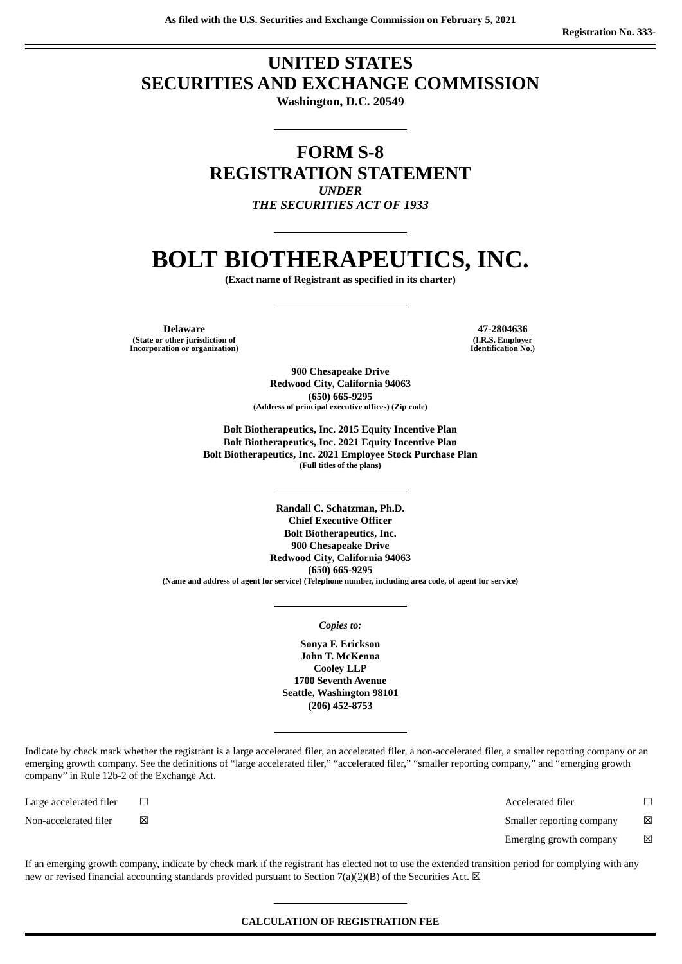## **UNITED STATES SECURITIES AND EXCHANGE COMMISSION**

**Washington, D.C. 20549**

### **FORM S-8 REGISTRATION STATEMENT** *UNDER*

*THE SECURITIES ACT OF 1933*

# **BOLT BIOTHERAPEUTICS, INC.**

**(Exact name of Registrant as specified in its charter)**

**Delaware 47-2804636 (State or other jurisdiction of Incorporation or organization)**

**(I.R.S. Employer Identification No.)**

**900 Chesapeake Drive Redwood City, California 94063 (650) 665-9295 (Address of principal executive offices) (Zip code)**

**Bolt Biotherapeutics, Inc. 2015 Equity Incentive Plan Bolt Biotherapeutics, Inc. 2021 Equity Incentive Plan Bolt Biotherapeutics, Inc. 2021 Employee Stock Purchase Plan (Full titles of the plans)**

**Randall C. Schatzman, Ph.D. Chief Executive Officer Bolt Biotherapeutics, Inc. 900 Chesapeake Drive Redwood City, California 94063 (650) 665-9295 (Name and address of agent for service) (Telephone number, including area code, of agent for service)**

#### *Copies to:*

**Sonya F. Erickson John T. McKenna Cooley LLP 1700 Seventh Avenue Seattle, Washington 98101 (206) 452-8753**

Indicate by check mark whether the registrant is a large accelerated filer, an accelerated filer, a non-accelerated filer, a smaller reporting company or an emerging growth company. See the definitions of "large accelerated filer," "accelerated filer," "smaller reporting company," and "emerging growth company" in Rule 12b-2 of the Exchange Act.

Large accelerated filer ☐ Accelerated filer ☐ Non-accelerated filer **⊠** △ Smaller reporting company **⊠** 

Emerging growth company  $\boxtimes$ 

If an emerging growth company, indicate by check mark if the registrant has elected not to use the extended transition period for complying with any new or revised financial accounting standards provided pursuant to Section 7(a)(2)(B) of the Securities Act.  $\boxtimes$ 

#### **CALCULATION OF REGISTRATION FEE**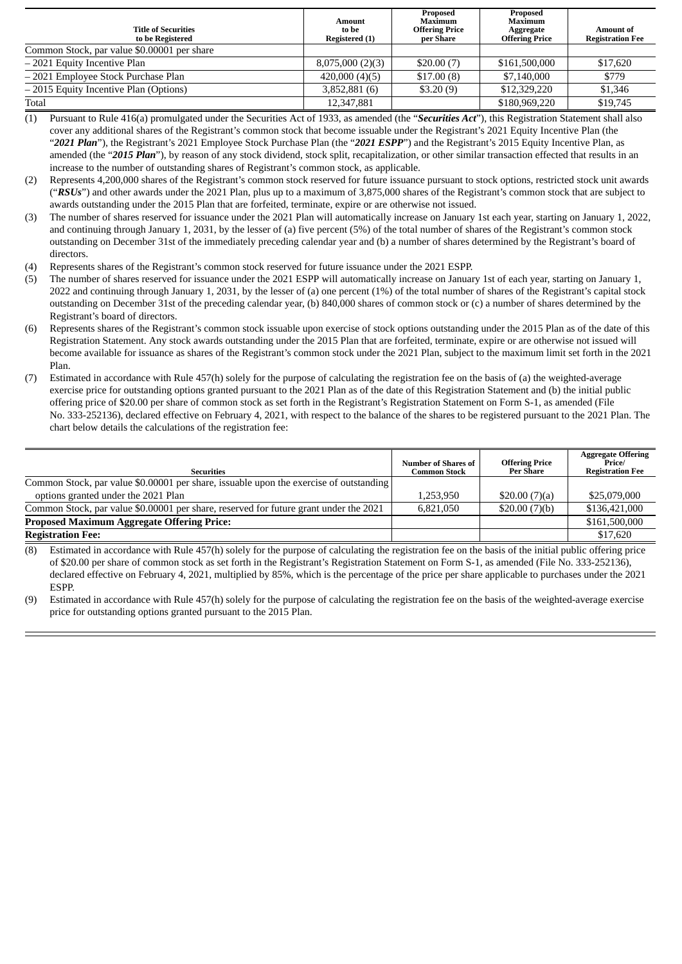| <b>Title of Securities</b><br>to be Registered | <b>Amount</b><br>to be<br>Registered (1) | Proposed<br>Maximum<br><b>Offering Price</b><br>per Share | Proposed<br>Maximum<br>Aggregate<br><b>Offering Price</b> | <b>Amount of</b><br><b>Registration Fee</b> |
|------------------------------------------------|------------------------------------------|-----------------------------------------------------------|-----------------------------------------------------------|---------------------------------------------|
| Common Stock, par value \$0.00001 per share    |                                          |                                                           |                                                           |                                             |
| -2021 Equity Incentive Plan                    | 8,075,000(2)(3)                          | \$20.00(7)                                                | \$161,500,000                                             | \$17,620                                    |
| - 2021 Employee Stock Purchase Plan            | 420,000(4)(5)                            | \$17.00(8)                                                | \$7,140,000                                               | \$779                                       |
| -2015 Equity Incentive Plan (Options)          | 3,852,881 (6)                            | \$3.20(9)                                                 | \$12,329,220                                              | \$1,346                                     |
| Total                                          | 12,347,881                               |                                                           | \$180,969,220                                             | \$19,745                                    |

(1) Pursuant to Rule 416(a) promulgated under the Securities Act of 1933, as amended (the "*Securities Act*"), this Registration Statement shall also cover any additional shares of the Registrant's common stock that become issuable under the Registrant's 2021 Equity Incentive Plan (the "*2021 Plan*"), the Registrant's 2021 Employee Stock Purchase Plan (the "*2021 ESPP*") and the Registrant's 2015 Equity Incentive Plan, as amended (the "*2015 Plan*"), by reason of any stock dividend, stock split, recapitalization, or other similar transaction effected that results in an increase to the number of outstanding shares of Registrant's common stock, as applicable.

- (2) Represents 4,200,000 shares of the Registrant's common stock reserved for future issuance pursuant to stock options, restricted stock unit awards ("*RSUs*") and other awards under the 2021 Plan, plus up to a maximum of 3,875,000 shares of the Registrant's common stock that are subject to awards outstanding under the 2015 Plan that are forfeited, terminate, expire or are otherwise not issued.
- (3) The number of shares reserved for issuance under the 2021 Plan will automatically increase on January 1st each year, starting on January 1, 2022, and continuing through January 1, 2031, by the lesser of (a) five percent (5%) of the total number of shares of the Registrant's common stock outstanding on December 31st of the immediately preceding calendar year and (b) a number of shares determined by the Registrant's board of directors.
- (4) Represents shares of the Registrant's common stock reserved for future issuance under the 2021 ESPP.
- (5) The number of shares reserved for issuance under the 2021 ESPP will automatically increase on January 1st of each year, starting on January 1, 2022 and continuing through January 1, 2031, by the lesser of (a) one percent (1%) of the total number of shares of the Registrant's capital stock outstanding on December 31st of the preceding calendar year, (b) 840,000 shares of common stock or (c) a number of shares determined by the Registrant's board of directors.
- (6) Represents shares of the Registrant's common stock issuable upon exercise of stock options outstanding under the 2015 Plan as of the date of this Registration Statement. Any stock awards outstanding under the 2015 Plan that are forfeited, terminate, expire or are otherwise not issued will become available for issuance as shares of the Registrant's common stock under the 2021 Plan, subject to the maximum limit set forth in the 2021 Plan.
- (7) Estimated in accordance with Rule 457(h) solely for the purpose of calculating the registration fee on the basis of (a) the weighted-average exercise price for outstanding options granted pursuant to the 2021 Plan as of the date of this Registration Statement and (b) the initial public offering price of \$20.00 per share of common stock as set forth in the Registrant's Registration Statement on Form S-1, as amended (File No. 333-252136), declared effective on February 4, 2021, with respect to the balance of the shares to be registered pursuant to the 2021 Plan. The chart below details the calculations of the registration fee:

| <b>Securities</b>                                                                      | <b>Number of Shares of</b><br><b>Common Stock</b> | <b>Offering Price</b><br><b>Per Share</b> | <b>Aggregate Offering</b><br>Price/<br><b>Registration Fee</b> |
|----------------------------------------------------------------------------------------|---------------------------------------------------|-------------------------------------------|----------------------------------------------------------------|
| Common Stock, par value \$0.00001 per share, issuable upon the exercise of outstanding |                                                   |                                           |                                                                |
| options granted under the 2021 Plan                                                    | 1.253.950                                         | \$20.00(7)(a)                             | \$25,079,000                                                   |
| Common Stock, par value \$0.00001 per share, reserved for future grant under the 2021  | 6.821.050                                         | \$20.00(7)(b)                             | \$136,421,000                                                  |
| <b>Proposed Maximum Aggregate Offering Price:</b>                                      |                                                   |                                           | \$161,500,000                                                  |
| <b>Registration Fee:</b>                                                               |                                                   |                                           | \$17,620                                                       |

(8) Estimated in accordance with Rule 457(h) solely for the purpose of calculating the registration fee on the basis of the initial public offering price of \$20.00 per share of common stock as set forth in the Registrant's Registration Statement on Form S-1, as amended (File No. 333-252136), declared effective on February 4, 2021, multiplied by 85%, which is the percentage of the price per share applicable to purchases under the 2021 **ESPP.** 

Estimated in accordance with Rule 457(h) solely for the purpose of calculating the registration fee on the basis of the weighted-average exercise price for outstanding options granted pursuant to the 2015 Plan.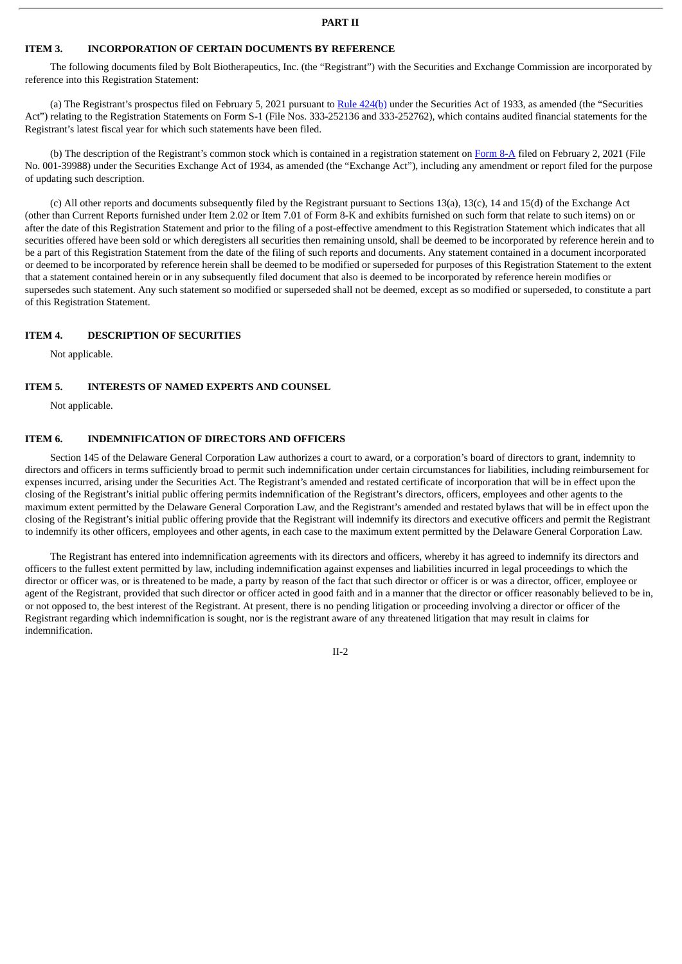#### **PART II**

#### **ITEM 3. INCORPORATION OF CERTAIN DOCUMENTS BY REFERENCE**

The following documents filed by Bolt Biotherapeutics, Inc. (the "Registrant") with the Securities and Exchange Commission are incorporated by reference into this Registration Statement:

(a) The Registrant's prospectus filed on February 5, 2021 pursuant to Rule [424\(b\)](http://www.sec.gov/Archives/edgar/data/1641281/000119312521030767/d58029d424b4.htm) under the Securities Act of 1933, as amended (the "Securities Act") relating to the Registration Statements on Form S-1 (File Nos. 333-252136 and 333-252762), which contains audited financial statements for the Registrant's latest fiscal year for which such statements have been filed.

(b) The description of the Registrant's common stock which is contained in a registration statement on [Form](http://www.sec.gov/Archives/edgar/data/1641281/000119312521025784/d38933d8a12b.htm) 8-A filed on February 2, 2021 (File No. 001-39988) under the Securities Exchange Act of 1934, as amended (the "Exchange Act"), including any amendment or report filed for the purpose of updating such description.

(c) All other reports and documents subsequently filed by the Registrant pursuant to Sections 13(a), 13(c), 14 and 15(d) of the Exchange Act (other than Current Reports furnished under Item 2.02 or Item 7.01 of Form 8-K and exhibits furnished on such form that relate to such items) on or after the date of this Registration Statement and prior to the filing of a post-effective amendment to this Registration Statement which indicates that all securities offered have been sold or which deregisters all securities then remaining unsold, shall be deemed to be incorporated by reference herein and to be a part of this Registration Statement from the date of the filing of such reports and documents. Any statement contained in a document incorporated or deemed to be incorporated by reference herein shall be deemed to be modified or superseded for purposes of this Registration Statement to the extent that a statement contained herein or in any subsequently filed document that also is deemed to be incorporated by reference herein modifies or supersedes such statement. Any such statement so modified or superseded shall not be deemed, except as so modified or superseded, to constitute a part of this Registration Statement.

#### **ITEM 4. DESCRIPTION OF SECURITIES**

Not applicable.

#### **ITEM 5. INTERESTS OF NAMED EXPERTS AND COUNSEL**

Not applicable.

#### **ITEM 6. INDEMNIFICATION OF DIRECTORS AND OFFICERS**

Section 145 of the Delaware General Corporation Law authorizes a court to award, or a corporation's board of directors to grant, indemnity to directors and officers in terms sufficiently broad to permit such indemnification under certain circumstances for liabilities, including reimbursement for expenses incurred, arising under the Securities Act. The Registrant's amended and restated certificate of incorporation that will be in effect upon the closing of the Registrant's initial public offering permits indemnification of the Registrant's directors, officers, employees and other agents to the maximum extent permitted by the Delaware General Corporation Law, and the Registrant's amended and restated bylaws that will be in effect upon the closing of the Registrant's initial public offering provide that the Registrant will indemnify its directors and executive officers and permit the Registrant to indemnify its other officers, employees and other agents, in each case to the maximum extent permitted by the Delaware General Corporation Law.

The Registrant has entered into indemnification agreements with its directors and officers, whereby it has agreed to indemnify its directors and officers to the fullest extent permitted by law, including indemnification against expenses and liabilities incurred in legal proceedings to which the director or officer was, or is threatened to be made, a party by reason of the fact that such director or officer is or was a director, officer, employee or agent of the Registrant, provided that such director or officer acted in good faith and in a manner that the director or officer reasonably believed to be in, or not opposed to, the best interest of the Registrant. At present, there is no pending litigation or proceeding involving a director or officer of the Registrant regarding which indemnification is sought, nor is the registrant aware of any threatened litigation that may result in claims for indemnification.

 $II-2$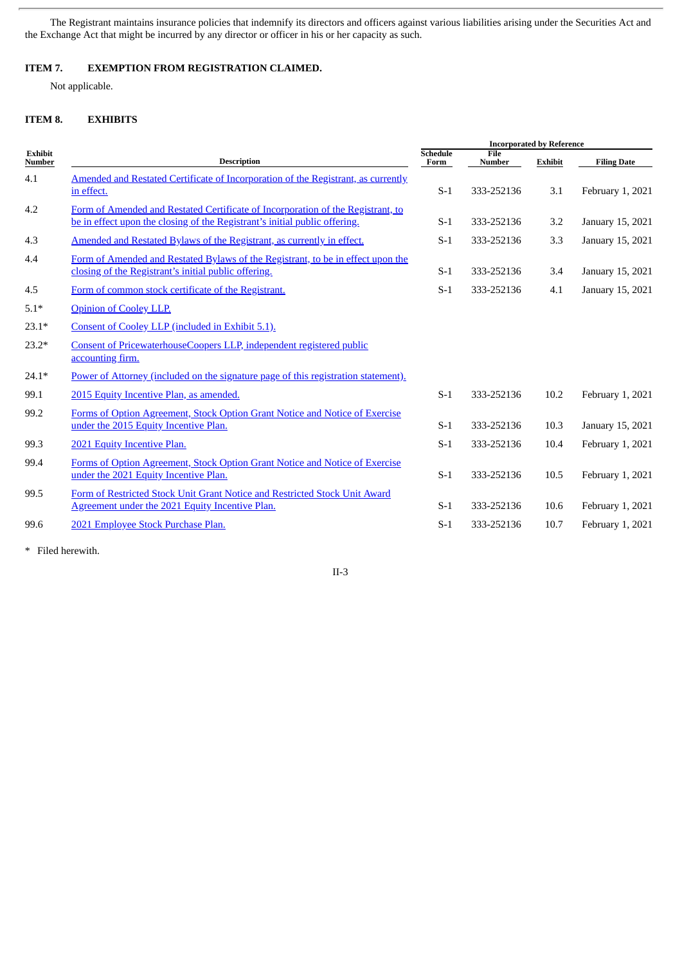The Registrant maintains insurance policies that indemnify its directors and officers against various liabilities arising under the Securities Act and the Exchange Act that might be incurred by any director or officer in his or her capacity as such.

#### **ITEM 7. EXEMPTION FROM REGISTRATION CLAIMED.**

Not applicable.

#### **ITEM 8. EXHIBITS**

| <b>Exhibit</b><br><b>Number</b> | <b>Description</b>                                                                                                                                            | <b>Incorporated by Reference</b> |                              |                |                    |
|---------------------------------|---------------------------------------------------------------------------------------------------------------------------------------------------------------|----------------------------------|------------------------------|----------------|--------------------|
|                                 |                                                                                                                                                               | <b>Schedule</b><br>Form          | <b>File</b><br><b>Number</b> | <b>Exhibit</b> | <b>Filing Date</b> |
| 4.1                             | Amended and Restated Certificate of Incorporation of the Registrant, as currently<br>in effect.                                                               | $S-1$                            | 333-252136                   | 3.1            | February 1, 2021   |
| 4.2                             | Form of Amended and Restated Certificate of Incorporation of the Registrant, to<br>be in effect upon the closing of the Registrant's initial public offering. | $S-1$                            | 333-252136                   | 3.2            | January 15, 2021   |
| 4.3                             | Amended and Restated Bylaws of the Registrant, as currently in effect.                                                                                        | $S-1$                            | 333-252136                   | 3.3            | January 15, 2021   |
| 4.4                             | Form of Amended and Restated Bylaws of the Registrant, to be in effect upon the<br>closing of the Registrant's initial public offering.                       | $S-1$                            | 333-252136                   | 3.4            | January 15, 2021   |
| 4.5                             | Form of common stock certificate of the Registrant.                                                                                                           | $S-1$                            | 333-252136                   | 4.1            | January 15, 2021   |
| $5.1*$                          | <b>Opinion of Cooley LLP.</b>                                                                                                                                 |                                  |                              |                |                    |
| $23.1*$                         | Consent of Cooley LLP (included in Exhibit 5.1).                                                                                                              |                                  |                              |                |                    |
| $23.2*$                         | Consent of PricewaterhouseCoopers LLP, independent registered public<br>accounting firm.                                                                      |                                  |                              |                |                    |
| $24.1*$                         | Power of Attorney (included on the signature page of this registration statement).                                                                            |                                  |                              |                |                    |
| 99.1                            | 2015 Equity Incentive Plan, as amended.                                                                                                                       | $S-1$                            | 333-252136                   | 10.2           | February 1, 2021   |
| 99.2                            | Forms of Option Agreement, Stock Option Grant Notice and Notice of Exercise<br>under the 2015 Equity Incentive Plan.                                          | $S-1$                            | 333-252136                   | 10.3           | January 15, 2021   |
| 99.3                            | 2021 Equity Incentive Plan.                                                                                                                                   | $S-1$                            | 333-252136                   | 10.4           | February 1, 2021   |
| 99.4                            | Forms of Option Agreement, Stock Option Grant Notice and Notice of Exercise<br>under the 2021 Equity Incentive Plan.                                          | $S-1$                            | 333-252136                   | 10.5           | February 1, 2021   |
| 99.5                            | Form of Restricted Stock Unit Grant Notice and Restricted Stock Unit Award<br>Agreement under the 2021 Equity Incentive Plan.                                 | $S-1$                            | 333-252136                   | 10.6           | February 1, 2021   |
| 99.6                            | 2021 Employee Stock Purchase Plan.                                                                                                                            | $S-1$                            | 333-252136                   | 10.7           | February 1, 2021   |

\* Filed herewith.

II-3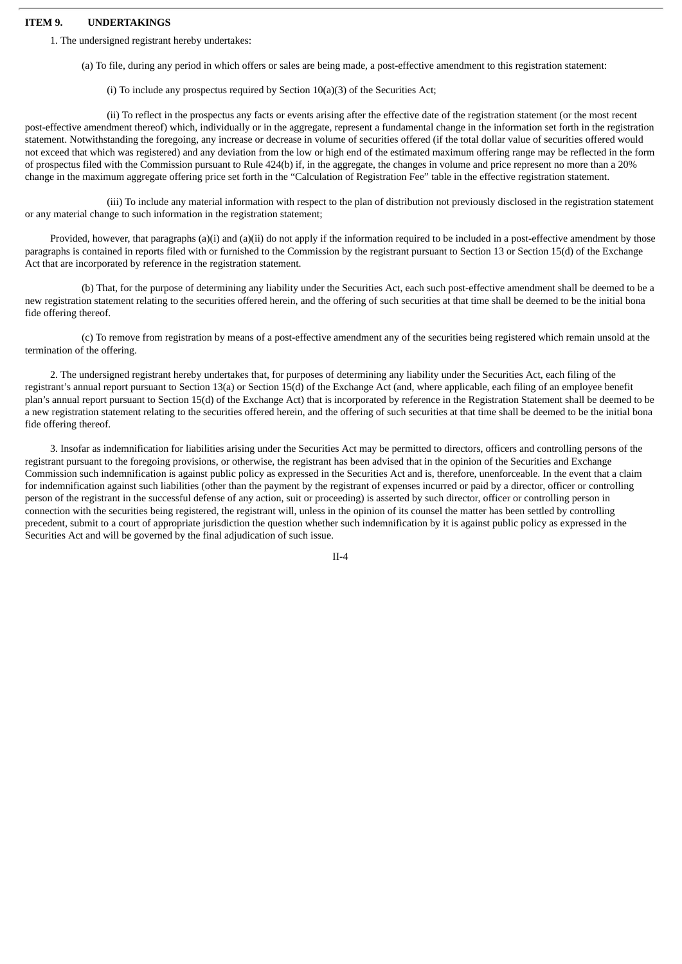#### **ITEM 9. UNDERTAKINGS**

1. The undersigned registrant hereby undertakes:

(a) To file, during any period in which offers or sales are being made, a post-effective amendment to this registration statement:

(i) To include any prospectus required by Section 10(a)(3) of the Securities Act;

(ii) To reflect in the prospectus any facts or events arising after the effective date of the registration statement (or the most recent post-effective amendment thereof) which, individually or in the aggregate, represent a fundamental change in the information set forth in the registration statement. Notwithstanding the foregoing, any increase or decrease in volume of securities offered (if the total dollar value of securities offered would not exceed that which was registered) and any deviation from the low or high end of the estimated maximum offering range may be reflected in the form of prospectus filed with the Commission pursuant to Rule 424(b) if, in the aggregate, the changes in volume and price represent no more than a 20% change in the maximum aggregate offering price set forth in the "Calculation of Registration Fee" table in the effective registration statement.

(iii) To include any material information with respect to the plan of distribution not previously disclosed in the registration statement or any material change to such information in the registration statement;

Provided, however, that paragraphs (a)(i) and (a)(ii) do not apply if the information required to be included in a post-effective amendment by those paragraphs is contained in reports filed with or furnished to the Commission by the registrant pursuant to Section 13 or Section 15(d) of the Exchange Act that are incorporated by reference in the registration statement.

(b) That, for the purpose of determining any liability under the Securities Act, each such post-effective amendment shall be deemed to be a new registration statement relating to the securities offered herein, and the offering of such securities at that time shall be deemed to be the initial bona fide offering thereof.

(c) To remove from registration by means of a post-effective amendment any of the securities being registered which remain unsold at the termination of the offering.

2. The undersigned registrant hereby undertakes that, for purposes of determining any liability under the Securities Act, each filing of the registrant's annual report pursuant to Section 13(a) or Section 15(d) of the Exchange Act (and, where applicable, each filing of an employee benefit plan's annual report pursuant to Section 15(d) of the Exchange Act) that is incorporated by reference in the Registration Statement shall be deemed to be a new registration statement relating to the securities offered herein, and the offering of such securities at that time shall be deemed to be the initial bona fide offering thereof.

3. Insofar as indemnification for liabilities arising under the Securities Act may be permitted to directors, officers and controlling persons of the registrant pursuant to the foregoing provisions, or otherwise, the registrant has been advised that in the opinion of the Securities and Exchange Commission such indemnification is against public policy as expressed in the Securities Act and is, therefore, unenforceable. In the event that a claim for indemnification against such liabilities (other than the payment by the registrant of expenses incurred or paid by a director, officer or controlling person of the registrant in the successful defense of any action, suit or proceeding) is asserted by such director, officer or controlling person in connection with the securities being registered, the registrant will, unless in the opinion of its counsel the matter has been settled by controlling precedent, submit to a court of appropriate jurisdiction the question whether such indemnification by it is against public policy as expressed in the Securities Act and will be governed by the final adjudication of such issue.

II-4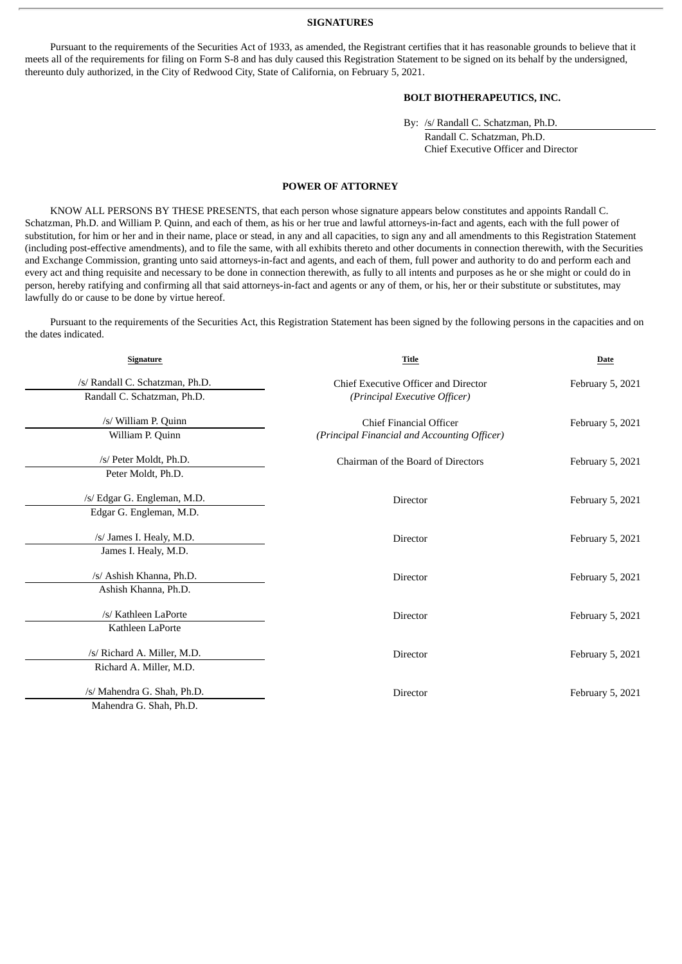#### **SIGNATURES**

Pursuant to the requirements of the Securities Act of 1933, as amended, the Registrant certifies that it has reasonable grounds to believe that it meets all of the requirements for filing on Form S-8 and has duly caused this Registration Statement to be signed on its behalf by the undersigned, thereunto duly authorized, in the City of Redwood City, State of California, on February 5, 2021.

#### **BOLT BIOTHERAPEUTICS, INC.**

By: /s/ Randall C. Schatzman, Ph.D. Randall C. Schatzman, Ph.D.

Chief Executive Officer and Director

#### **POWER OF ATTORNEY**

<span id="page-5-0"></span>KNOW ALL PERSONS BY THESE PRESENTS, that each person whose signature appears below constitutes and appoints Randall C. Schatzman, Ph.D. and William P. Quinn, and each of them, as his or her true and lawful attorneys-in-fact and agents, each with the full power of substitution, for him or her and in their name, place or stead, in any and all capacities, to sign any and all amendments to this Registration Statement (including post-effective amendments), and to file the same, with all exhibits thereto and other documents in connection therewith, with the Securities and Exchange Commission, granting unto said attorneys-in-fact and agents, and each of them, full power and authority to do and perform each and every act and thing requisite and necessary to be done in connection therewith, as fully to all intents and purposes as he or she might or could do in person, hereby ratifying and confirming all that said attorneys-in-fact and agents or any of them, or his, her or their substitute or substitutes, may lawfully do or cause to be done by virtue hereof.

Pursuant to the requirements of the Securities Act, this Registration Statement has been signed by the following persons in the capacities and on the dates indicated.

| <b>Signature</b>                                               | <b>Title</b>                                                                   | <b>Date</b>      |  |
|----------------------------------------------------------------|--------------------------------------------------------------------------------|------------------|--|
| /s/ Randall C. Schatzman, Ph.D.<br>Randall C. Schatzman, Ph.D. | Chief Executive Officer and Director<br>(Principal Executive Officer)          | February 5, 2021 |  |
| /s/ William P. Quinn<br>William P. Quinn                       | <b>Chief Financial Officer</b><br>(Principal Financial and Accounting Officer) | February 5, 2021 |  |
| /s/ Peter Moldt, Ph.D.<br>Peter Moldt, Ph.D.                   | Chairman of the Board of Directors                                             | February 5, 2021 |  |
| /s/ Edgar G. Engleman, M.D.<br>Edgar G. Engleman, M.D.         | <b>Director</b>                                                                | February 5, 2021 |  |
| /s/ James I. Healy, M.D.<br>James I. Healy, M.D.               | Director                                                                       | February 5, 2021 |  |
| /s/ Ashish Khanna, Ph.D.<br>Ashish Khanna, Ph.D.               | Director                                                                       | February 5, 2021 |  |
| /s/ Kathleen LaPorte<br>Kathleen LaPorte                       | <b>Director</b>                                                                | February 5, 2021 |  |
| /s/ Richard A. Miller, M.D.<br>Richard A. Miller, M.D.         | <b>Director</b>                                                                | February 5, 2021 |  |
| /s/ Mahendra G. Shah, Ph.D.<br>Mahendra G. Shah, Ph.D.         | Director                                                                       | February 5, 2021 |  |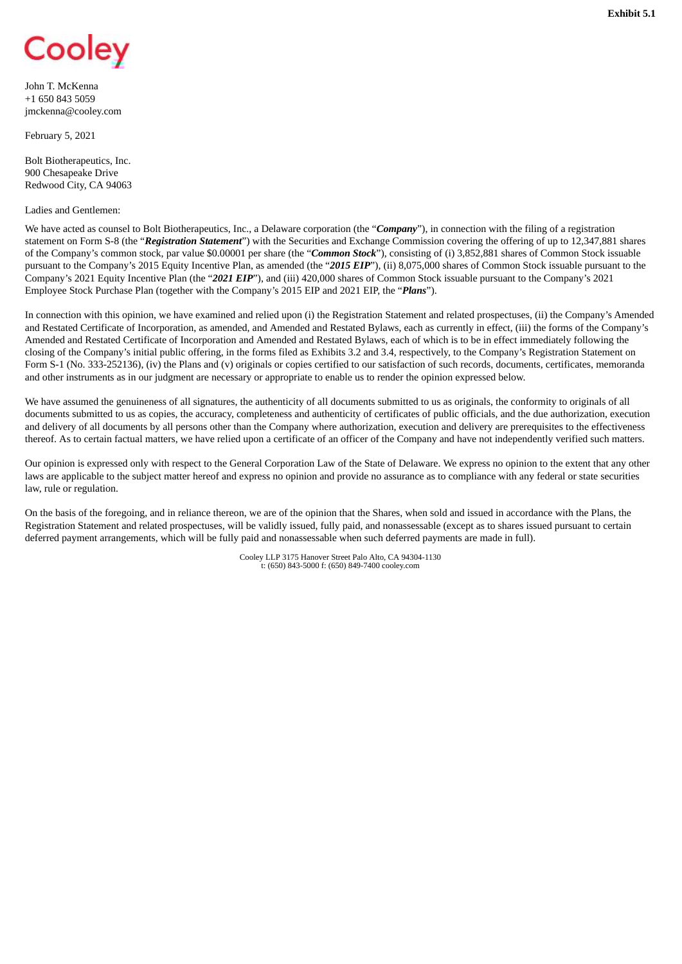<span id="page-6-0"></span>

John T. McKenna +1 650 843 5059 jmckenna@cooley.com

February 5, 2021

Bolt Biotherapeutics, Inc. 900 Chesapeake Drive Redwood City, CA 94063

#### Ladies and Gentlemen:

We have acted as counsel to Bolt Biotherapeutics, Inc., a Delaware corporation (the "*Company*"), in connection with the filing of a registration statement on Form S-8 (the "*Registration Statement*") with the Securities and Exchange Commission covering the offering of up to 12,347,881 shares of the Company's common stock, par value \$0.00001 per share (the "*Common Stock*"), consisting of (i) 3,852,881 shares of Common Stock issuable pursuant to the Company's 2015 Equity Incentive Plan, as amended (the "*2015 EIP*"), (ii) 8,075,000 shares of Common Stock issuable pursuant to the Company's 2021 Equity Incentive Plan (the "*2021 EIP*"), and (iii) 420,000 shares of Common Stock issuable pursuant to the Company's 2021 Employee Stock Purchase Plan (together with the Company's 2015 EIP and 2021 EIP, the "*Plans*").

In connection with this opinion, we have examined and relied upon (i) the Registration Statement and related prospectuses, (ii) the Company's Amended and Restated Certificate of Incorporation, as amended, and Amended and Restated Bylaws, each as currently in effect, (iii) the forms of the Company's Amended and Restated Certificate of Incorporation and Amended and Restated Bylaws, each of which is to be in effect immediately following the closing of the Company's initial public offering, in the forms filed as Exhibits 3.2 and 3.4, respectively, to the Company's Registration Statement on Form S-1 (No. 333-252136), (iv) the Plans and (v) originals or copies certified to our satisfaction of such records, documents, certificates, memoranda and other instruments as in our judgment are necessary or appropriate to enable us to render the opinion expressed below.

We have assumed the genuineness of all signatures, the authenticity of all documents submitted to us as originals, the conformity to originals of all documents submitted to us as copies, the accuracy, completeness and authenticity of certificates of public officials, and the due authorization, execution and delivery of all documents by all persons other than the Company where authorization, execution and delivery are prerequisites to the effectiveness thereof. As to certain factual matters, we have relied upon a certificate of an officer of the Company and have not independently verified such matters.

Our opinion is expressed only with respect to the General Corporation Law of the State of Delaware. We express no opinion to the extent that any other laws are applicable to the subject matter hereof and express no opinion and provide no assurance as to compliance with any federal or state securities law, rule or regulation.

On the basis of the foregoing, and in reliance thereon, we are of the opinion that the Shares, when sold and issued in accordance with the Plans, the Registration Statement and related prospectuses, will be validly issued, fully paid, and nonassessable (except as to shares issued pursuant to certain deferred payment arrangements, which will be fully paid and nonassessable when such deferred payments are made in full).

> Cooley LLP 3175 Hanover Street Palo Alto, CA 94304-1130 t: (650) 843-5000 f: (650) 849-7400 cooley.com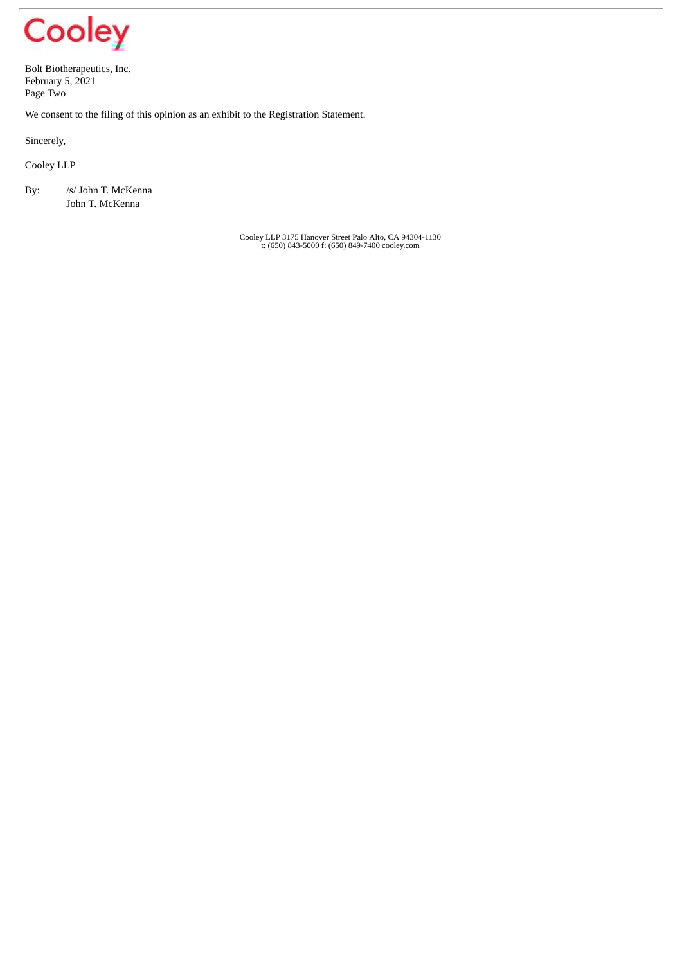

Bolt Biotherapeutics, Inc. February 5, 2021 Page Two

We consent to the filing of this opinion as an exhibit to the Registration Statement.

Sincerely,

Cooley LLP

By: /s/ John T. McKenna

John T. McKenna

Cooley LLP 3175 Hanover Street Palo Alto, CA 94304-1130 t: (650) 843-5000 f: (650) 849-7400 cooley.com